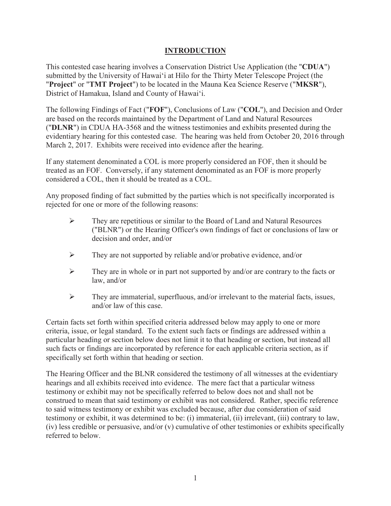# **INTRODUCTION**

This contested case hearing involves a Conservation District Use Application (the "**CDUA**") submitted by the University of Hawai'i at Hilo for the Thirty Meter Telescope Project (the "**Project**" or "**TMT Project**") to be located in the Mauna Kea Science Reserve ("**MKSR**"), District of Hamakua, Island and County of Hawai'i.

The following Findings of Fact ("**FOF**"), Conclusions of Law ("**COL**"), and Decision and Order are based on the records maintained by the Department of Land and Natural Resources ("**DLNR**") in CDUA HA-3568 and the witness testimonies and exhibits presented during the evidentiary hearing for this contested case. The hearing was held from October 20, 2016 through March 2, 2017. Exhibits were received into evidence after the hearing.

If any statement denominated a COL is more properly considered an FOF, then it should be treated as an FOF. Conversely, if any statement denominated as an FOF is more properly considered a COL, then it should be treated as a COL.

Any proposed finding of fact submitted by the parties which is not specifically incorporated is rejected for one or more of the following reasons:

- ¾ They are repetitious or similar to the Board of Land and Natural Resources ("BLNR") or the Hearing Officer's own findings of fact or conclusions of law or decision and order, and/or
- $\triangleright$  They are not supported by reliable and/or probative evidence, and/or
- $\triangleright$  They are in whole or in part not supported by and/or are contrary to the facts or law, and/or
- $\triangleright$  They are immaterial, superfluous, and/or irrelevant to the material facts, issues, and/or law of this case.

Certain facts set forth within specified criteria addressed below may apply to one or more criteria, issue, or legal standard. To the extent such facts or findings are addressed within a particular heading or section below does not limit it to that heading or section, but instead all such facts or findings are incorporated by reference for each applicable criteria section, as if specifically set forth within that heading or section.

The Hearing Officer and the BLNR considered the testimony of all witnesses at the evidentiary hearings and all exhibits received into evidence. The mere fact that a particular witness testimony or exhibit may not be specifically referred to below does not and shall not be construed to mean that said testimony or exhibit was not considered. Rather, specific reference to said witness testimony or exhibit was excluded because, after due consideration of said testimony or exhibit, it was determined to be: (i) immaterial, (ii) irrelevant, (iii) contrary to law, (iv) less credible or persuasive, and/or (v) cumulative of other testimonies or exhibits specifically referred to below.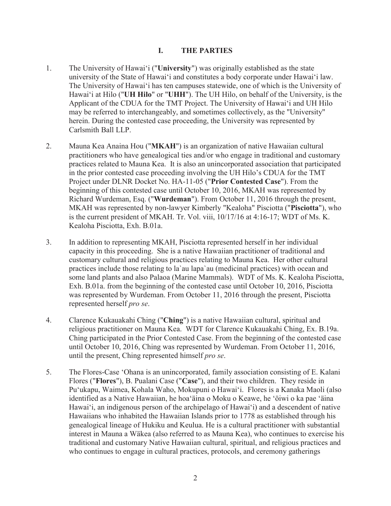#### **I. THE PARTIES**

- 1. The University of Hawai'i ("**University**") was originally established as the state university of the State of Hawai'i and constitutes a body corporate under Hawai'i law. The University of Hawai'i has ten campuses statewide, one of which is the University of Hawai'i at Hilo ("**UH Hilo**" or "**UHH**"). The UH Hilo, on behalf of the University, is the Applicant of the CDUA for the TMT Project. The University of Hawai'i and UH Hilo may be referred to interchangeably, and sometimes collectively, as the "University" herein. During the contested case proceeding, the University was represented by Carlsmith Ball LLP.
- 2. Mauna Kea Anaina Hou ("**MKAH**") is an organization of native Hawaiian cultural practitioners who have genealogical ties and/or who engage in traditional and customary practices related to Mauna Kea. It is also an unincorporated association that participated in the prior contested case proceeding involving the UH Hilo's CDUA for the TMT Project under DLNR Docket No. HA-11-05 ("**Prior Contested Case**"). From the beginning of this contested case until October 10, 2016, MKAH was represented by Richard Wurdeman, Esq. ("**Wurdeman**"). From October 11, 2016 through the present, MKAH was represented by non-lawyer Kimberly "Kealoha" Pisciotta ("**Pisciotta**"), who is the current president of MKAH. Tr. Vol. viii, 10/17/16 at 4:16-17; WDT of Ms. K. Kealoha Pisciotta, Exh. B.01a.
- 3. In addition to representing MKAH, Pisciotta represented herself in her individual capacity in this proceeding. She is a native Hawaiian practitioner of traditional and customary cultural and religious practices relating to Mauna Kea. Her other cultural practices include those relating to la`au lapa`au (medicinal practices) with ocean and some land plants and also Palaoa (Marine Mammals). WDT of Ms. K. Kealoha Pisciotta, Exh. B.01a. from the beginning of the contested case until October 10, 2016, Pisciotta was represented by Wurdeman. From October 11, 2016 through the present, Pisciotta represented herself *pro se*.
- 4. Clarence Kukauakahi Ching ("**Ching**") is a native Hawaiian cultural, spiritual and religious practitioner on Mauna Kea. WDT for Clarence Kukauakahi Ching, Ex. B.19a. Ching participated in the Prior Contested Case. From the beginning of the contested case until October 10, 2016, Ching was represented by Wurdeman. From October 11, 2016, until the present, Ching represented himself *pro se*.
- 5. The Flores-Case 'Ohana is an unincorporated, family association consisting of E. Kalani Flores ("**Flores**"), B. Pualani Case ("**Case**"), and their two children. They reside in Pu'ukapu, Waimea, Kohala Waho, Mokupuni o Hawai'i. Flores is a Kanaka Maoli (also identified as a Native Hawaiian, he hoa'äina o Moku o Keawe, he 'öiwi o ka pae 'äina Hawai'i, an indigenous person of the archipelago of Hawai'i) and a descendent of native Hawaiians who inhabited the Hawaiian Islands prior to 1778 as established through his genealogical lineage of Hukiku and Keulua. He is a cultural practitioner with substantial interest in Mauna a Wäkea (also referred to as Mauna Kea), who continues to exercise his traditional and customary Native Hawaiian cultural, spiritual, and religious practices and who continues to engage in cultural practices, protocols, and ceremony gatherings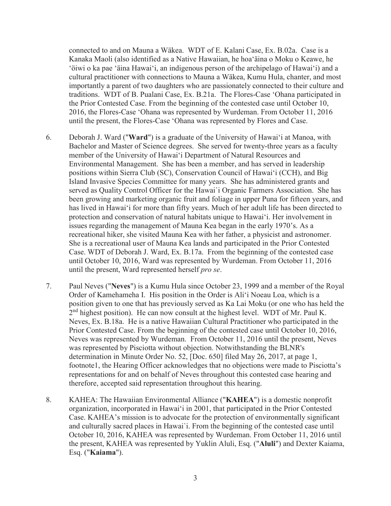connected to and on Mauna a Wäkea. WDT of E. Kalani Case, Ex. B.02a. Case is a Kanaka Maoli (also identified as a Native Hawaiian, he hoa'äina o Moku o Keawe, he 'öiwi o ka pae 'äina Hawai'i, an indigenous person of the archipelago of Hawai'i) and a cultural practitioner with connections to Mauna a Wäkea, Kumu Hula, chanter, and most importantly a parent of two daughters who are passionately connected to their culture and traditions. WDT of B. Pualani Case, Ex. B.21a. The Flores-Case 'Ohana participated in the Prior Contested Case. From the beginning of the contested case until October 10, 2016, the Flores-Case 'Ohana was represented by Wurdeman. From October 11, 2016 until the present, the Flores-Case 'Ohana was represented by Flores and Case.

- 6. Deborah J. Ward ("**Ward**") is a graduate of the University of Hawai'i at Manoa, with Bachelor and Master of Science degrees. She served for twenty-three years as a faculty member of the University of Hawai'i Department of Natural Resources and Environmental Management. She has been a member, and has served in leadership positions within Sierra Club (SC), Conservation Council of Hawai'i (CCH), and Big Island Invasive Species Committee for many years. She has administered grants and served as Quality Control Officer for the Hawai`i Organic Farmers Association. She has been growing and marketing organic fruit and foliage in upper Puna for fifteen years, and has lived in Hawai'i for more than fifty years. Much of her adult life has been directed to protection and conservation of natural habitats unique to Hawai'i. Her involvement in issues regarding the management of Mauna Kea began in the early 1970's. As a recreational hiker, she visited Mauna Kea with her father, a physicist and astronomer. She is a recreational user of Mauna Kea lands and participated in the Prior Contested Case. WDT of Deborah J. Ward, Ex. B.17a. From the beginning of the contested case until October 10, 2016, Ward was represented by Wurdeman. From October 11, 2016 until the present, Ward represented herself *pro se*.
- 7. Paul Neves ("**Neves**") is a Kumu Hula since October 23, 1999 and a member of the Royal Order of Kamehameha I. His position in the Order is Ali'i Noeau Loa, which is a position given to one that has previously served as Ka Lai Moku (or one who has held the  $2<sup>nd</sup>$  highest position). He can now consult at the highest level. WDT of Mr. Paul K. Neves, Ex. B.18a. He is a native Hawaiian Cultural Practitioner who participated in the Prior Contested Case. From the beginning of the contested case until October 10, 2016, Neves was represented by Wurdeman. From October 11, 2016 until the present, Neves was represented by Pisciotta without objection. Notwithstanding the BLNR's determination in Minute Order No. 52, [Doc. 650] filed May 26, 2017, at page 1, footnote1, the Hearing Officer acknowledges that no objections were made to Pisciotta's representations for and on behalf of Neves throughout this contested case hearing and therefore, accepted said representation throughout this hearing.
- 8. KAHEA: The Hawaiian Environmental Alliance ("**KAHEA**") is a domestic nonprofit organization, incorporated in Hawai'i in 2001, that participated in the Prior Contested Case. KAHEA's mission is to advocate for the protection of environmentally significant and culturally sacred places in Hawai`i. From the beginning of the contested case until October 10, 2016, KAHEA was represented by Wurdeman. From October 11, 2016 until the present, KAHEA was represented by Yuklin Aluli, Esq. ("**Aluli**") and Dexter Kaiama, Esq. ("**Kaiama**").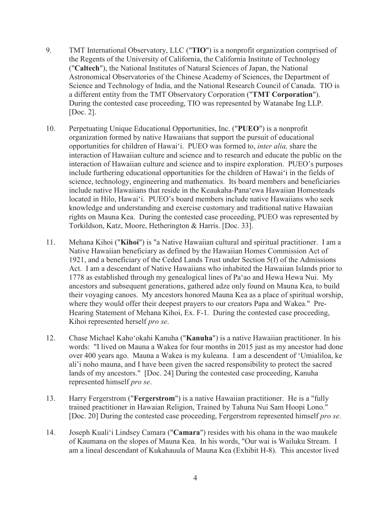- 9. TMT International Observatory, LLC ("**TIO**") is a nonprofit organization comprised of the Regents of the University of California, the California Institute of Technology ("**Caltech**"), the National Institutes of Natural Sciences of Japan, the National Astronomical Observatories of the Chinese Academy of Sciences, the Department of Science and Technology of India, and the National Research Council of Canada. TIO is a different entity from the TMT Observatory Corporation ("**TMT Corporation**"). During the contested case proceeding, TIO was represented by Watanabe Ing LLP. [Doc. 2].
- 10. Perpetuating Unique Educational Opportunities, Inc. ("**PUEO**") is a nonprofit organization formed by native Hawaiians that support the pursuit of educational opportunities for children of Hawai'i. PUEO was formed to, *inter alia,* share the interaction of Hawaiian culture and science and to research and educate the public on the interaction of Hawaiian culture and science and to inspire exploration. PUEO's purposes include furthering educational opportunities for the children of Hawai'i in the fields of science, technology, engineering and mathematics. Its board members and beneficiaries include native Hawaiians that reside in the Keaukaha-Pana'ewa Hawaiian Homesteads located in Hilo, Hawai'i. PUEO's board members include native Hawaiians who seek knowledge and understanding and exercise customary and traditional native Hawaiian rights on Mauna Kea. During the contested case proceeding, PUEO was represented by Torkildson, Katz, Moore, Hetherington & Harris. [Doc. 33].
- 11. Mehana Kihoi ("**Kihoi**") is "a Native Hawaiian cultural and spiritual practitioner. I am a Native Hawaiian beneficiary as defined by the Hawaiian Homes Commission Act of 1921, and a beneficiary of the Ceded Lands Trust under Section 5(f) of the Admissions Act. I am a descendant of Native Hawaiians who inhabited the Hawaiian Islands prior to 1778 as established through my genealogical lines of Pa'ao and Hewa Hewa Nui. My ancestors and subsequent generations, gathered adze only found on Mauna Kea, to build their voyaging canoes. My ancestors honored Mauna Kea as a place of spiritual worship, where they would offer their deepest prayers to our creators Papa and Wakea." Pre-Hearing Statement of Mehana Kihoi, Ex. F-1. During the contested case proceeding, Kihoi represented herself *pro se*.
- 12. Chase Michael Kaho'okahi Kanuha ("**Kanuha**") is a native Hawaiian practitioner. In his words: "I lived on Mauna a Wakea for four months in 2015 just as my ancestor had done over 400 years ago. Mauna a Wakea is my kuleana. I am a descendent of 'Umialiloa, ke ali'i noho mauna, and I have been given the sacred responsibility to protect the sacred lands of my ancestors." [Doc. 24] During the contested case proceeding, Kanuha represented himself *pro se*.
- 13. Harry Fergerstrom ("**Fergerstrom**") is a native Hawaiian practitioner. He is a "fully trained practitioner in Hawaian Religion, Trained by Tahuna Nui Sam Hoopi Lono." [Doc. 20] During the contested case proceeding, Fergerstrom represented himself *pro se*.
- 14. Joseph Kuali'i Lindsey Camara ("Camara") resides with his ohana in the wao maukele of Kaumana on the slopes of Mauna Kea. In his words, "Our wai is Wailuku Stream. I am a lineal descendant of Kukahauula of Mauna Kea (Exhibit H-8). This ancestor lived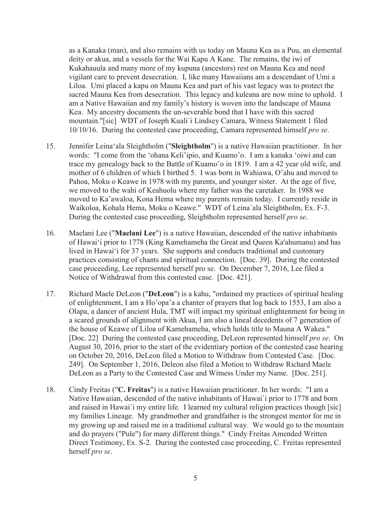as a Kanaka (man), and also remains with us today on Mauna Kea as a Puu, an elemental deity or akua, and a vessels for the Wai Kapu A Kane. The remains, the iwi of Kukahauula and many more of my kupuna (ancestors) rest on Mauna Kea and need vigilant care to prevent desecration. I, like many Hawaiians am a descendant of Umi a Liloa. Umi placed a kapu on Mauna Kea and part of his vast legacy was to protect the sacred Mauna Kea from desecration. This legacy and kuleana are now mine to uphold. I am a Native Hawaiian and my family's history is woven into the landscape of Mauna Kea. My ancestry documents the un-severable bond that I have with this sacred mountain."[sic] WDT of Joseph Kuali`i Lindsey Camara, Witness Statement 1 filed 10/10/16. During the contested case proceeding, Camara represented himself *pro se*.

- 15. Jennifer Leina'ala Sleightholm ("Sleightholm") is a native Hawaiian practitioner. In her words: "I come from the 'ohana Keli'ipio, and Kuamo'o. I am a kanaka 'oiwi and can trace my genealogy back to the Battle of Kuamo'o in 1819. I am a 42 year old wife, and mother of 6 children of which I birthed 5. I was born in Wahiawa, O'ahu and moved to Pahoa, Moku o Keawe in 1978 with my parents, and younger sister. At the age of five, we moved to the wahi of Keahuolu where my father was the caretaker. In 1988 we moved to Ka'awaloa, Kona Hema where my parents remain today. I currently reside in Waikoloa, Kohala Hema, Moku o Keawe." WDT of Leina`ala Sleightholm, Ex. F-3. During the contested case proceeding, Sleightholm represented herself *pro se*.
- 16. Maelani Lee ("**Maelani Lee**") is a native Hawaiian, descended of the native inhabitants of Hawai'i prior to 1778 (King Kamehameha the Great and Queen Ka'ahumanu) and has lived in Hawai'i for 37 years. She supports and conducts traditional and customary practices consisting of chants and spiritual connection. [Doc. 39]. During the contested case proceeding, Lee represented herself pro se. On December 7, 2016, Lee filed a Notice of Withdrawal from this contested case. [Doc. 421].
- 17. Richard Maele DeLeon ("**DeLeon**") is a kahu, "ordained my practices of spiritual healing of enlightenment, I am a Ho'opa'a a chanter of prayers that log back to 1553, I am also a Olapa, a dancer of ancient Hula, TMT will impact my spiritual enlightenment for being in a scared grounds of alignment with Akua, I am also a lineal decedents of 7 generation of the house of Keawe of Liloa of Kamehameha, which holds title to Mauna A Wakea." [Doc. 22] During the contested case proceeding, DeLeon represented himself *pro se*. On August 30, 2016, prior to the start of the evidentiary portion of the contested case hearing on October 20, 2016, DeLeon filed a Motion to Withdraw from Contested Case. [Doc. 249]. On September 1, 2016, Deleon also filed a Motion to Withdraw Richard Maele DeLeon as a Party to the Contested Case and Witness Under my Name. [Doc. 251].
- 18. Cindy Freitas ("**C. Freitas**") is a native Hawaiian practitioner. In her words: "I am a Native Hawaiian, descended of the native inhabitants of Hawai`i prior to 1778 and born and raised in Hawai`i my entire life. I learned my cultural religion practices though [sic] my families Lineage. My grandmother and grandfather is the strongest mentor for me in my growing up and raised me in a traditional cultural way. We would go to the mountain and do prayers ("Pule") for many different things." Cindy Freitas Amended Written Direct Testimony, Ex. S-2. During the contested case proceeding, C. Freitas represented herself *pro se*.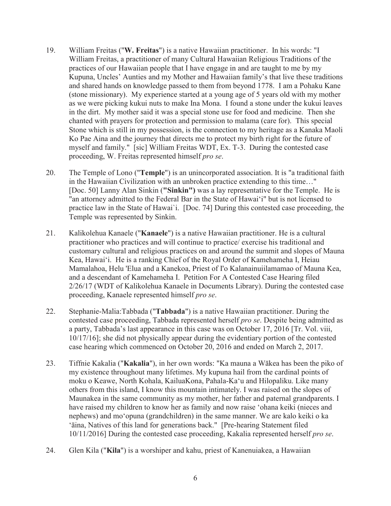- 19. William Freitas ("**W. Freitas**") is a native Hawaiian practitioner. In his words: "I William Freitas, a practitioner of many Cultural Hawaiian Religious Traditions of the practices of our Hawaiian people that I have engage in and are taught to me by my Kupuna, Uncles' Aunties and my Mother and Hawaiian family's that live these traditions and shared hands on knowledge passed to them from beyond 1778. I am a Pohaku Kane (stone missionary). My experience started at a young age of 5 years old with my mother as we were picking kukui nuts to make Ina Mona. I found a stone under the kukui leaves in the dirt. My mother said it was a special stone use for food and medicine. Then she chanted with prayers for protection and permission to malama (care for). This special Stone which is still in my possession, is the connection to my heritage as a Kanaka Maoli Ko Pae Aina and the journey that directs me to protect my birth right for the future of myself and family." [sic] William Freitas WDT, Ex. T-3. During the contested case proceeding, W. Freitas represented himself *pro se*.
- 20. The Temple of Lono ("**Temple**") is an unincorporated association. It is "a traditional faith in the Hawaiian Civilization with an unbroken practice extending to this time…" [Doc. 50] Lanny Alan Sinkin (**"Sinkin")** was a lay representative for the Temple. He is "an attorney admitted to the Federal Bar in the State of Hawai'i" but is not licensed to practice law in the State of Hawai`i. [Doc. 74] During this contested case proceeding, the Temple was represented by Sinkin.
- 21. Kalikolehua Kanaele ("**Kanaele**") is a native Hawaiian practitioner. He is a cultural practitioner who practices and will continue to practice/ exercise his traditional and customary cultural and religious practices on and around the summit and slopes of Mauna Kea, Hawai'i. He is a ranking Chief of the Royal Order of Kamehameha I, Heiau Mamalahoa, Helu 'Elua and a Kanekoa, Priest of I'o Kalanainuiilamamao of Mauna Kea, and a descendant of Kamehameha I. Petition For A Contested Case Hearing filed 2/26/17 (WDT of Kalikolehua Kanaele in Documents Library). During the contested case proceeding, Kanaele represented himself *pro se*.
- 22. Stephanie-Malia:Tabbada ("**Tabbada**") is a native Hawaiian practitioner. During the contested case proceeding, Tabbada represented herself *pro se*. Despite being admitted as a party, Tabbada's last appearance in this case was on October 17, 2016 [Tr. Vol. viii, 10/17/16]; she did not physically appear during the evidentiary portion of the contested case hearing which commenced on October 20, 2016 and ended on March 2, 2017.
- 23. Tiffnie Kakalia ("**Kakalia**"), in her own words: "Ka mauna a Wākea has been the piko of my existence throughout many lifetimes. My kupuna hail from the cardinal points of moku o Keawe, North Kohala, KailuaKona, Pahala-Ka'u and Hilopaliku. Like many others from this island, I know this mountain intimately. I was raised on the slopes of Maunakea in the same community as my mother, her father and paternal grandparents. I have raised my children to know her as family and now raise 'ohana keiki (nieces and nephews) and moދopuna (grandchildren) in the same manner. We are kalo keiki o ka 'āina, Natives of this land for generations back." [Pre-hearing Statement filed 10/11/2016] During the contested case proceeding, Kakalia represented herself *pro se*.
- 24. Glen Kila ("**Kila**") is a worshiper and kahu, priest of Kanenuiakea, a Hawaiian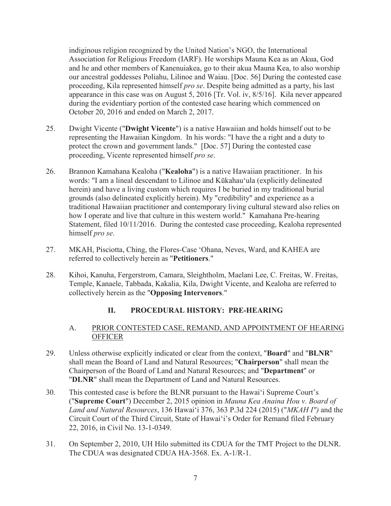indiginous religion recognized by the United Nation's NGO, the International Association for Religious Freedom (IARF). He worships Mauna Kea as an Akua, God and he and other members of Kanenuiakea, go to their akua Mauna Kea, to also worship our ancestral goddesses Poliahu, Lilinoe and Waiau. [Doc. 56] During the contested case proceeding, Kila represented himself *pro se*. Despite being admitted as a party, his last appearance in this case was on August 5, 2016 [Tr. Vol. iv, 8/5/16]. Kila never appeared during the evidentiary portion of the contested case hearing which commenced on October 20, 2016 and ended on March 2, 2017.

- 25. Dwight Vicente ("**Dwight Vicente**") is a native Hawaiian and holds himself out to be representing the Hawaiian Kingdom. In his words: "I have the a right and a duty to protect the crown and government lands." [Doc. 57] During the contested case proceeding, Vicente represented himself *pro se*.
- 26. Brannon Kamahana Kealoha ("**Kealoha**") is a native Hawaiian practitioner. In his words: "I am a lineal descendant to Lilinoe and Kūkahau'ula (explicitly delineated herein) and have a living custom which requires I be buried in my traditional burial grounds (also delineated explicitly herein). My "credibility" and experience as a traditional Hawaiian practitioner and contemporary living cultural steward also relies on how I operate and live that culture in this western world." Kamahana Pre-hearing Statement, filed 10/11/2016. During the contested case proceeding, Kealoha represented himself *pro se*.
- 27. MKAH, Pisciotta, Ching, the Flores-Case 'Ohana, Neves, Ward, and KAHEA are referred to collectively herein as "**Petitioners**."
- 28. Kihoi, Kanuha, Fergerstrom, Camara, Sleightholm, Maelani Lee, C. Freitas, W. Freitas, Temple, Kanaele, Tabbada, Kakalia, Kila, Dwight Vicente, and Kealoha are referred to collectively herein as the "**Opposing Intervenors**."

# **II. PROCEDURAL HISTORY: PRE-HEARING**

#### A. PRIOR CONTESTED CASE, REMAND, AND APPOINTMENT OF HEARING **OFFICER**

- 29. Unless otherwise explicitly indicated or clear from the context, "**Board**" and "**BLNR**" shall mean the Board of Land and Natural Resources; "**Chairperson**" shall mean the Chairperson of the Board of Land and Natural Resources; and "**Department**" or "**DLNR**" shall mean the Department of Land and Natural Resources.
- 30. This contested case is before the BLNR pursuant to the Hawai'i Supreme Court's ("**Supreme Court**") December 2, 2015 opinion in *Mauna Kea Anaina Hou v. Board of*  Land and Natural Resources, 136 Hawai'i 376, 363 P.3d 224 (2015) ("MKAH I") and the Circuit Court of the Third Circuit, State of Hawai'i's Order for Remand filed February 22, 2016, in Civil No. 13-1-0349.
- 31. On September 2, 2010, UH Hilo submitted its CDUA for the TMT Project to the DLNR. The CDUA was designated CDUA HA-3568. Ex. A-1/R-1.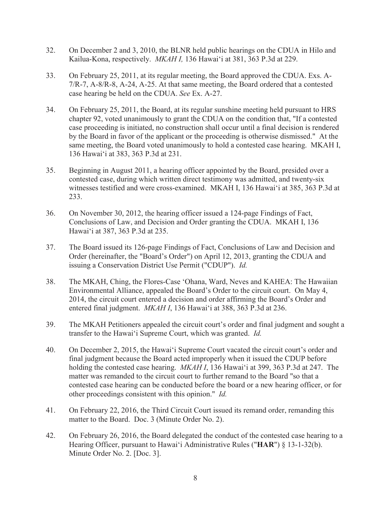- 32. On December 2 and 3, 2010, the BLNR held public hearings on the CDUA in Hilo and Kailua-Kona, respectively. *MKAH I,* 136 Hawai'i at 381, 363 P.3d at 229.
- 33. On February 25, 2011, at its regular meeting, the Board approved the CDUA. Exs. A-7/R-7, A-8/R-8, A-24, A-25. At that same meeting, the Board ordered that a contested case hearing be held on the CDUA. *See* Ex. A-27.
- 34. On February 25, 2011, the Board, at its regular sunshine meeting held pursuant to HRS chapter 92, voted unanimously to grant the CDUA on the condition that, "If a contested case proceeding is initiated, no construction shall occur until a final decision is rendered by the Board in favor of the applicant or the proceeding is otherwise dismissed." At the same meeting, the Board voted unanimously to hold a contested case hearing. MKAH I, 136 Hawai'i at 383, 363 P.3d at 231.
- 35. Beginning in August 2011, a hearing officer appointed by the Board, presided over a contested case, during which written direct testimony was admitted, and twenty-six witnesses testified and were cross-examined. MKAH I, 136 Hawai'i at 385, 363 P.3d at 233.
- 36. On November 30, 2012, the hearing officer issued a 124-page Findings of Fact, Conclusions of Law, and Decision and Order granting the CDUA. MKAH I, 136 Hawai'i at 387, 363 P.3d at 235.
- 37. The Board issued its 126-page Findings of Fact, Conclusions of Law and Decision and Order (hereinafter, the "Board's Order") on April 12, 2013, granting the CDUA and issuing a Conservation District Use Permit ("CDUP"). *Id.*
- 38. The MKAH, Ching, the Flores-Case 'Ohana, Ward, Neves and KAHEA: The Hawaiian Environmental Alliance, appealed the Board's Order to the circuit court. On May 4, 2014, the circuit court entered a decision and order affirming the Board's Order and entered final judgment. *MKAH I*, 136 Hawai'i at 388, 363 P.3d at 236.
- 39. The MKAH Petitioners appealed the circuit court's order and final judgment and sought a transfer to the Hawai'i Supreme Court, which was granted. *Id.*
- 40. On December 2, 2015, the Hawai'i Supreme Court vacated the circuit court's order and final judgment because the Board acted improperly when it issued the CDUP before holding the contested case hearing. *MKAH I*, 136 Hawai'i at 399, 363 P.3d at 247. The matter was remanded to the circuit court to further remand to the Board "so that a contested case hearing can be conducted before the board or a new hearing officer, or for other proceedings consistent with this opinion." *Id.*
- 41. On February 22, 2016, the Third Circuit Court issued its remand order, remanding this matter to the Board. Doc. 3 (Minute Order No. 2).
- 42. On February 26, 2016, the Board delegated the conduct of the contested case hearing to a Hearing Officer, pursuant to Hawai'i Administrative Rules ("**HAR**") § 13-1-32(b). Minute Order No. 2. [Doc. 3].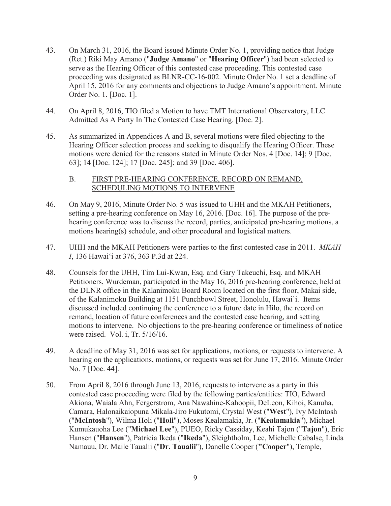- 43. On March 31, 2016, the Board issued Minute Order No. 1, providing notice that Judge (Ret.) Riki May Amano ("**Judge Amano**" or "**Hearing Officer**") had been selected to serve as the Hearing Officer of this contested case proceeding. This contested case proceeding was designated as BLNR-CC-16-002. Minute Order No. 1 set a deadline of April 15, 2016 for any comments and objections to Judge Amano's appointment. Minute Order No. 1. [Doc. 1].
- 44. On April 8, 2016, TIO filed a Motion to have TMT International Observatory, LLC Admitted As A Party In The Contested Case Hearing. [Doc. 2].
- 45. As summarized in Appendices A and B, several motions were filed objecting to the Hearing Officer selection process and seeking to disqualify the Hearing Officer. These motions were denied for the reasons stated in Minute Order Nos. 4 [Doc. 14]; 9 [Doc. 63]; 14 [Doc. 124]; 17 [Doc. 245]; and 39 [Doc. 406].

#### B. FIRST PRE-HEARING CONFERENCE, RECORD ON REMAND, SCHEDULING MOTIONS TO INTERVENE

- 46. On May 9, 2016, Minute Order No. 5 was issued to UHH and the MKAH Petitioners, setting a pre-hearing conference on May 16, 2016. [Doc. 16]. The purpose of the prehearing conference was to discuss the record, parties, anticipated pre-hearing motions, a motions hearing(s) schedule, and other procedural and logistical matters.
- 47. UHH and the MKAH Petitioners were parties to the first contested case in 2011. *MKAH I*, 136 Hawai'i at 376, 363 P.3d at 224.
- 48. Counsels for the UHH, Tim Lui-Kwan, Esq. and Gary Takeuchi, Esq. and MKAH Petitioners, Wurdeman, participated in the May 16, 2016 pre-hearing conference, held at the DLNR office in the Kalanimoku Board Room located on the first floor, Makai side, of the Kalanimoku Building at 1151 Punchbowl Street, Honolulu, Hawai`i. Items discussed included continuing the conference to a future date in Hilo, the record on remand, location of future conferences and the contested case hearing, and setting motions to intervene. No objections to the pre-hearing conference or timeliness of notice were raised. Vol. i, Tr. 5/16/16.
- 49. A deadline of May 31, 2016 was set for applications, motions, or requests to intervene. A hearing on the applications, motions, or requests was set for June 17, 2016. Minute Order No. 7 [Doc. 44].
- 50. From April 8, 2016 through June 13, 2016, requests to intervene as a party in this contested case proceeding were filed by the following parties/entities: TIO, Edward Akiona, Waiala Ahn, Fergerstrom, Ana Nawahine-Kahoopii, DeLeon, Kihoi, Kanuha, Camara, Halonaikaiopuna Mikala-Jiro Fukutomi, Crystal West ("**West**"), Ivy McIntosh ("**McIntosh**"), Wilma Holi ("**Holi**"), Moses Kealamakia, Jr. ("**Kealamakia**"), Michael Kumukauoha Lee ("**Michael Lee**"), PUEO, Ricky Cassiday, Keahi Tajon ("**Tajon**"), Eric Hansen ("**Hansen**"), Patricia Ikeda ("**Ikeda**"), Sleightholm, Lee, Michelle Cabalse, Linda Namauu, Dr. Maile Taualii ("**Dr. Taualii**"), Danelle Cooper (**"Cooper**"), Temple,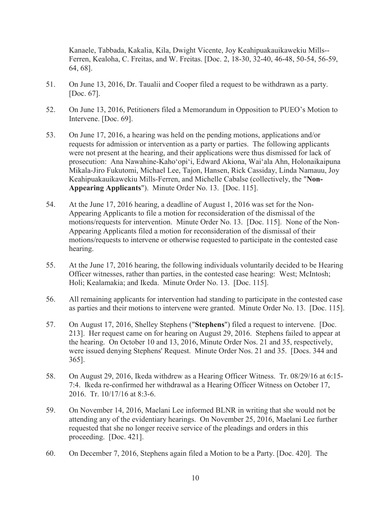Kanaele, Tabbada, Kakalia, Kila, Dwight Vicente, Joy Keahipuakauikawekiu Mills-- Ferren, Kealoha, C. Freitas, and W. Freitas. [Doc. 2, 18-30, 32-40, 46-48, 50-54, 56-59, 64, 68].

- 51. On June 13, 2016, Dr. Taualii and Cooper filed a request to be withdrawn as a party. [Doc. 67].
- 52. On June 13, 2016, Petitioners filed a Memorandum in Opposition to PUEO's Motion to Intervene. [Doc. 69].
- 53. On June 17, 2016, a hearing was held on the pending motions, applications and/or requests for admission or intervention as a party or parties. The following applicants were not present at the hearing, and their applications were thus dismissed for lack of prosecution: Ana Nawahine-Kaho'opi'i, Edward Akiona, Wai'ala Ahn, Holonaikaipuna Mikala-Jiro Fukutomi, Michael Lee, Tajon, Hansen, Rick Cassiday, Linda Namauu, Joy Keahipuakauikawekiu Mills-Ferren, and Michelle Cabalse (collectively, the "**Non-Appearing Applicants**"). Minute Order No. 13. [Doc. 115].
- 54. At the June 17, 2016 hearing, a deadline of August 1, 2016 was set for the Non-Appearing Applicants to file a motion for reconsideration of the dismissal of the motions/requests for intervention. Minute Order No. 13. [Doc. 115]. None of the Non-Appearing Applicants filed a motion for reconsideration of the dismissal of their motions/requests to intervene or otherwise requested to participate in the contested case hearing.
- 55. At the June 17, 2016 hearing, the following individuals voluntarily decided to be Hearing Officer witnesses, rather than parties, in the contested case hearing: West; McIntosh; Holi; Kealamakia; and Ikeda. Minute Order No. 13. [Doc. 115].
- 56. All remaining applicants for intervention had standing to participate in the contested case as parties and their motions to intervene were granted. Minute Order No. 13. [Doc. 115].
- 57. On August 17, 2016, Shelley Stephens ("**Stephens**") filed a request to intervene. [Doc. 213]. Her request came on for hearing on August 29, 2016. Stephens failed to appear at the hearing. On October 10 and 13, 2016, Minute Order Nos. 21 and 35, respectively, were issued denying Stephens' Request. Minute Order Nos. 21 and 35. [Docs. 344 and 365].
- 58. On August 29, 2016, Ikeda withdrew as a Hearing Officer Witness. Tr. 08/29/16 at 6:15- 7:4. Ikeda re-confirmed her withdrawal as a Hearing Officer Witness on October 17, 2016. Tr. 10/17/16 at 8:3-6.
- 59. On November 14, 2016, Maelani Lee informed BLNR in writing that she would not be attending any of the evidentiary hearings. On November 25, 2016, Maelani Lee further requested that she no longer receive service of the pleadings and orders in this proceeding. [Doc. 421].
- 60. On December 7, 2016, Stephens again filed a Motion to be a Party. [Doc. 420]. The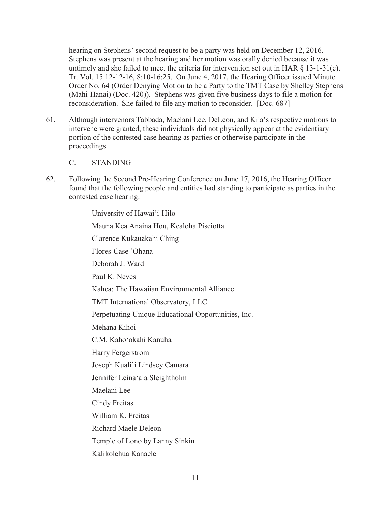hearing on Stephens' second request to be a party was held on December 12, 2016. Stephens was present at the hearing and her motion was orally denied because it was untimely and she failed to meet the criteria for intervention set out in HAR § 13-1-31(c). Tr. Vol. 15 12-12-16, 8:10-16:25. On June 4, 2017, the Hearing Officer issued Minute Order No. 64 (Order Denying Motion to be a Party to the TMT Case by Shelley Stephens (Mahi-Hanai) (Doc. 420)). Stephens was given five business days to file a motion for reconsideration. She failed to file any motion to reconsider. [Doc. 687]

61. Although intervenors Tabbada, Maelani Lee, DeLeon, and Kila's respective motions to intervene were granted, these individuals did not physically appear at the evidentiary portion of the contested case hearing as parties or otherwise participate in the proceedings.

#### C. STANDING

62. Following the Second Pre-Hearing Conference on June 17, 2016, the Hearing Officer found that the following people and entities had standing to participate as parties in the contested case hearing:

> University of Hawai'i-Hilo Mauna Kea Anaina Hou, Kealoha Pisciotta Clarence Kukauakahi Ching Flores-Case `Ohana Deborah J. Ward Paul K. Neves Kahea: The Hawaiian Environmental Alliance TMT International Observatory, LLC Perpetuating Unique Educational Opportunities, Inc. Mehana Kihoi C.M. Kaho'okahi Kanuha Harry Fergerstrom Joseph Kuali`i Lindsey Camara Jennifer Leina'ala Sleightholm Maelani Lee Cindy Freitas William K. Freitas Richard Maele Deleon Temple of Lono by Lanny Sinkin Kalikolehua Kanaele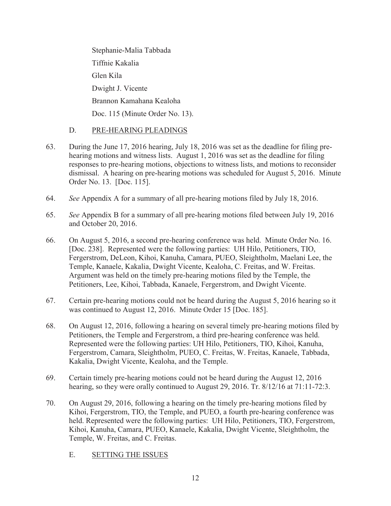Stephanie-Malia Tabbada Tiffnie Kakalia Glen Kila Dwight J. Vicente Brannon Kamahana Kealoha Doc. 115 (Minute Order No. 13).

## D. PRE-HEARING PLEADINGS

- 63. During the June 17, 2016 hearing, July 18, 2016 was set as the deadline for filing prehearing motions and witness lists. August 1, 2016 was set as the deadline for filing responses to pre-hearing motions, objections to witness lists, and motions to reconsider dismissal. A hearing on pre-hearing motions was scheduled for August 5, 2016. Minute Order No. 13. [Doc. 115].
- 64. *See* Appendix A for a summary of all pre-hearing motions filed by July 18, 2016.
- 65. *See* Appendix B for a summary of all pre-hearing motions filed between July 19, 2016 and October 20, 2016.
- 66. On August 5, 2016, a second pre-hearing conference was held. Minute Order No. 16. [Doc. 238]. Represented were the following parties: UH Hilo, Petitioners, TIO, Fergerstrom, DeLeon, Kihoi, Kanuha, Camara, PUEO, Sleightholm, Maelani Lee, the Temple, Kanaele, Kakalia, Dwight Vicente, Kealoha, C. Freitas, and W. Freitas. Argument was held on the timely pre-hearing motions filed by the Temple, the Petitioners, Lee, Kihoi, Tabbada, Kanaele, Fergerstrom, and Dwight Vicente.
- 67. Certain pre-hearing motions could not be heard during the August 5, 2016 hearing so it was continued to August 12, 2016. Minute Order 15 [Doc. 185].
- 68. On August 12, 2016, following a hearing on several timely pre-hearing motions filed by Petitioners, the Temple and Fergerstrom, a third pre-hearing conference was held. Represented were the following parties: UH Hilo, Petitioners, TIO, Kihoi, Kanuha, Fergerstrom, Camara, Sleightholm, PUEO, C. Freitas, W. Freitas, Kanaele, Tabbada, Kakalia, Dwight Vicente, Kealoha, and the Temple.
- 69. Certain timely pre-hearing motions could not be heard during the August 12, 2016 hearing, so they were orally continued to August 29, 2016. Tr. 8/12/16 at 71:11-72:3.
- 70. On August 29, 2016, following a hearing on the timely pre-hearing motions filed by Kihoi, Fergerstrom, TIO, the Temple, and PUEO, a fourth pre-hearing conference was held. Represented were the following parties: UH Hilo, Petitioners, TIO, Fergerstrom, Kihoi, Kanuha, Camara, PUEO, Kanaele, Kakalia, Dwight Vicente, Sleightholm, the Temple, W. Freitas, and C. Freitas.
	- E. SETTING THE ISSUES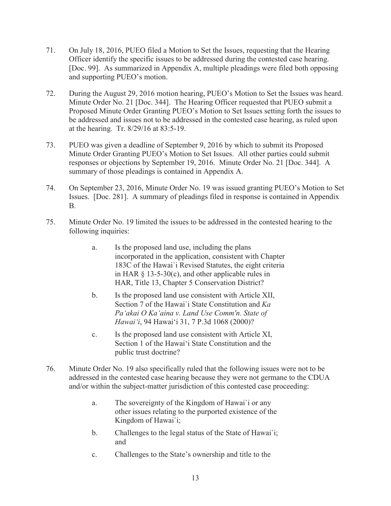- 71. On July 18, 2016, PUEO filed a Motion to Set the Issues, requesting that the Hearing Officer identify the specific issues to be addressed during the contested case hearing. [Doc. 99]. As summarized in Appendix A, multiple pleadings were filed both opposing and supporting PUEO's motion.
- 72. During the August 29, 2016 motion hearing, PUEO's Motion to Set the Issues was heard. Minute Order No. 21 [Doc. 344]. The Hearing Officer requested that PUEO submit a Proposed Minute Order Granting PUEO's Motion to Set Issues setting forth the issues to be addressed and issues not to be addressed in the contested case hearing, as ruled upon at the hearing. Tr. 8/29/16 at 83:5-19.
- 73. PUEO was given a deadline of September 9, 2016 by which to submit its Proposed Minute Order Granting PUEO's Motion to Set Issues. All other parties could submit responses or objections by September 19, 2016. Minute Order No. 21 [Doc. 344]. A summary of those pleadings is contained in Appendix A.
- 74. On September 23, 2016, Minute Order No. 19 was issued granting PUEO's Motion to Set Issues. [Doc. 281]. A summary of pleadings filed in response is contained in Appendix B.
- 75. Minute Order No. 19 limited the issues to be addressed in the contested hearing to the following inquiries:
	- a. Is the proposed land use, including the plans incorporated in the application, consistent with Chapter 183C of the Hawai`i Revised Statutes, the eight criteria in HAR § 13-5-30(c), and other applicable rules in HAR, Title 13, Chapter 5 Conservation District?
	- b. Is the proposed land use consistent with Article XII, Section 7 of the Hawai`i State Constitution and *Ka Pa'akai O Ka'aina v. Land Use Comm'n. State of*  Hawai'i, 94 Hawai'i 31, 7 P.3d 1068 (2000)?
	- c. Is the proposed land use consistent with Article XI, Section 1 of the Hawai'i State Constitution and the public trust doctrine?
- 76. Minute Order No. 19 also specifically ruled that the following issues were not to be addressed in the contested case hearing because they were not germane to the CDUA and/or within the subject-matter jurisdiction of this contested case proceeding:
	- a. The sovereignty of the Kingdom of Hawai`i or any other issues relating to the purported existence of the Kingdom of Hawai`i;
	- b. Challenges to the legal status of the State of Hawai`i; and
	- c. Challenges to the State's ownership and title to the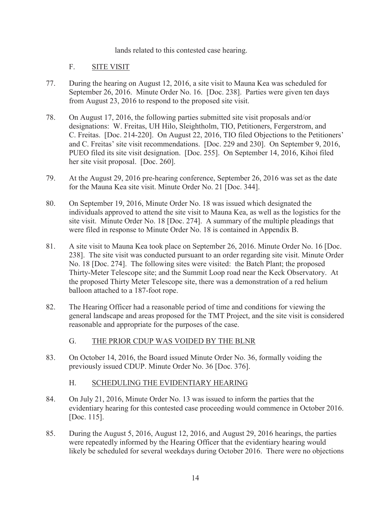lands related to this contested case hearing.

#### F. SITE VISIT

- 77. During the hearing on August 12, 2016, a site visit to Mauna Kea was scheduled for September 26, 2016. Minute Order No. 16. [Doc. 238]. Parties were given ten days from August 23, 2016 to respond to the proposed site visit.
- 78. On August 17, 2016, the following parties submitted site visit proposals and/or designations: W. Freitas, UH Hilo, Sleightholm, TIO, Petitioners, Fergerstrom, and C. Freitas. [Doc. 214-220]. On August 22, 2016, TIO filed Objections to the Petitioners' and C. Freitas' site visit recommendations. [Doc. 229 and 230]. On September 9, 2016, PUEO filed its site visit designation. [Doc. 255]. On September 14, 2016, Kihoi filed her site visit proposal. [Doc. 260].
- 79. At the August 29, 2016 pre-hearing conference, September 26, 2016 was set as the date for the Mauna Kea site visit. Minute Order No. 21 [Doc. 344].
- 80. On September 19, 2016, Minute Order No. 18 was issued which designated the individuals approved to attend the site visit to Mauna Kea, as well as the logistics for the site visit. Minute Order No. 18 [Doc. 274]. A summary of the multiple pleadings that were filed in response to Minute Order No. 18 is contained in Appendix B.
- 81. A site visit to Mauna Kea took place on September 26, 2016. Minute Order No. 16 [Doc. 238]. The site visit was conducted pursuant to an order regarding site visit. Minute Order No. 18 [Doc. 274]. The following sites were visited: the Batch Plant; the proposed Thirty-Meter Telescope site; and the Summit Loop road near the Keck Observatory. At the proposed Thirty Meter Telescope site, there was a demonstration of a red helium balloon attached to a 187-foot rope.
- 82. The Hearing Officer had a reasonable period of time and conditions for viewing the general landscape and areas proposed for the TMT Project, and the site visit is considered reasonable and appropriate for the purposes of the case.

## G. THE PRIOR CDUP WAS VOIDED BY THE BLNR

83. On October 14, 2016, the Board issued Minute Order No. 36, formally voiding the previously issued CDUP. Minute Order No. 36 [Doc. 376].

## H. SCHEDULING THE EVIDENTIARY HEARING

- 84. On July 21, 2016, Minute Order No. 13 was issued to inform the parties that the evidentiary hearing for this contested case proceeding would commence in October 2016. [Doc. 115].
- 85. During the August 5, 2016, August 12, 2016, and August 29, 2016 hearings, the parties were repeatedly informed by the Hearing Officer that the evidentiary hearing would likely be scheduled for several weekdays during October 2016. There were no objections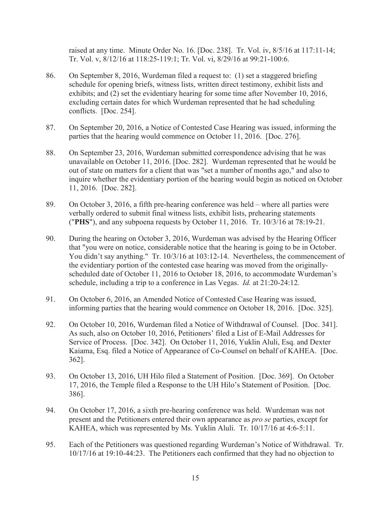raised at any time. Minute Order No. 16. [Doc. 238]. Tr. Vol. iv, 8/5/16 at 117:11-14; Tr. Vol. v, 8/12/16 at 118:25-119:1; Tr. Vol. vi, 8/29/16 at 99:21-100:6.

- 86. On September 8, 2016, Wurdeman filed a request to: (1) set a staggered briefing schedule for opening briefs, witness lists, written direct testimony, exhibit lists and exhibits; and (2) set the evidentiary hearing for some time after November 10, 2016, excluding certain dates for which Wurdeman represented that he had scheduling conflicts. [Doc. 254].
- 87. On September 20, 2016, a Notice of Contested Case Hearing was issued, informing the parties that the hearing would commence on October 11, 2016. [Doc. 276].
- 88. On September 23, 2016, Wurdeman submitted correspondence advising that he was unavailable on October 11, 2016. [Doc. 282]. Wurdeman represented that he would be out of state on matters for a client that was "set a number of months ago," and also to inquire whether the evidentiary portion of the hearing would begin as noticed on October 11, 2016. [Doc. 282].
- 89. On October 3, 2016, a fifth pre-hearing conference was held where all parties were verbally ordered to submit final witness lists, exhibit lists, prehearing statements ("**PHS**"), and any subpoena requests by October 11, 2016. Tr. 10/3/16 at 78:19-21.
- 90. During the hearing on October 3, 2016, Wurdeman was advised by the Hearing Officer that "you were on notice, considerable notice that the hearing is going to be in October. You didn't say anything." Tr. 10/3/16 at 103:12-14. Nevertheless, the commencement of the evidentiary portion of the contested case hearing was moved from the originallyscheduled date of October 11, 2016 to October 18, 2016, to accommodate Wurdeman's schedule, including a trip to a conference in Las Vegas. *Id.* at 21:20-24:12.
- 91. On October 6, 2016, an Amended Notice of Contested Case Hearing was issued, informing parties that the hearing would commence on October 18, 2016. [Doc. 325].
- 92. On October 10, 2016, Wurdeman filed a Notice of Withdrawal of Counsel. [Doc. 341]. As such, also on October 10, 2016, Petitioners' filed a List of E-Mail Addresses for Service of Process. [Doc. 342]. On October 11, 2016, Yuklin Aluli, Esq. and Dexter Kaiama, Esq. filed a Notice of Appearance of Co-Counsel on behalf of KAHEA. [Doc. 362].
- 93. On October 13, 2016, UH Hilo filed a Statement of Position. [Doc. 369]. On October 17, 2016, the Temple filed a Response to the UH Hilo's Statement of Position. [Doc. 386].
- 94. On October 17, 2016, a sixth pre-hearing conference was held. Wurdeman was not present and the Petitioners entered their own appearance as *pro se* parties, except for KAHEA, which was represented by Ms. Yuklin Aluli. Tr. 10/17/16 at 4:6-5:11.
- 95. Each of the Petitioners was questioned regarding Wurdeman's Notice of Withdrawal. Tr. 10/17/16 at 19:10-44:23. The Petitioners each confirmed that they had no objection to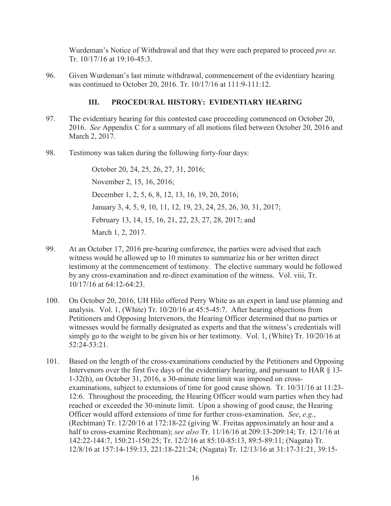Wurdeman's Notice of Withdrawal and that they were each prepared to proceed *pro se.*  Tr. 10/17/16 at 19:10-45:3.

96. Given Wurdeman's last minute withdrawal, commencement of the evidentiary hearing was continued to October 20, 2016. Tr. 10/17/16 at 111:9-111:12.

# **III. PROCEDURAL HISTORY: EVIDENTIARY HEARING**

- 97. The evidentiary hearing for this contested case proceeding commenced on October 20, 2016. *See* Appendix C for a summary of all motions filed between October 20, 2016 and March 2, 2017.
- 98. Testimony was taken during the following forty-four days:

October 20, 24, 25, 26, 27, 31, 2016; November 2, 15, 16, 2016; December 1, 2, 5, 6, 8, 12, 13, 16, 19, 20, 2016; January 3, 4, 5, 9, 10, 11, 12, 19, 23, 24, 25, 26, 30, 31, 2017; February 13, 14, 15, 16, 21, 22, 23, 27, 28, 2017; and March 1, 2, 2017.

- 99. At an October 17, 2016 pre-hearing conference, the parties were advised that each witness would be allowed up to 10 minutes to summarize his or her written direct testimony at the commencement of testimony. The elective summary would be followed by any cross-examination and re-direct examination of the witness. Vol. viii, Tr. 10/17/16 at 64:12-64:23.
- 100. On October 20, 2016, UH Hilo offered Perry White as an expert in land use planning and analysis. Vol. 1, (White) Tr. 10/20/16 at 45:5-45:7. After hearing objections from Petitioners and Opposing Intervenors, the Hearing Officer determined that no parties or witnesses would be formally designated as experts and that the witness's credentials will simply go to the weight to be given his or her testimony. Vol. 1, (White) Tr. 10/20/16 at 52:24-53:21.
- 101. Based on the length of the cross-examinations conducted by the Petitioners and Opposing Intervenors over the first five days of the evidentiary hearing, and pursuant to HAR § 13-1-32(h), on October 31, 2016, a 30-minute time limit was imposed on crossexaminations, subject to extensions of time for good cause shown. Tr. 10/31/16 at 11:23- 12:6. Throughout the proceeding, the Hearing Officer would warn parties when they had reached or exceeded the 30-minute limit. Upon a showing of good cause, the Hearing Officer would afford extensions of time for further cross-examination. *See*, *e.g.*, (Rechtman) Tr. 12/20/16 at 172:18-22 (giving W. Freitas approximately an hour and a half to cross-examine Rechtman); *see also* Tr. 11/16/16 at 209:13-209:14; Tr. 12/1/16 at 142:22-144:7, 150:21-150:25; Tr. 12/2/16 at 85:10-85:13, 89:5-89:11; (Nagata) Tr. 12/8/16 at 157:14-159:13, 221:18-221:24; (Nagata) Tr. 12/13/16 at 31:17-31:21, 39:15-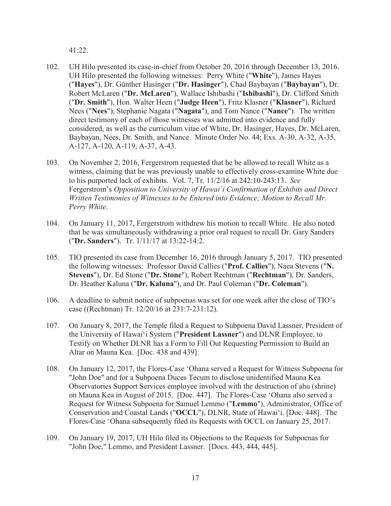41:22.

- 102. UH Hilo presented its case-in-chief from October 20, 2016 through December 13, 2016. UH Hilo presented the following witnesses: Perry White ("**White**"), James Hayes ("**Hayes**"), Dr. Günther Hasinger ("**Dr. Hasinger**"), Chad Baybayan ("**Baybayan**"), Dr. Robert McLaren ("**Dr. McLaren**"), Wallace Ishibashi ("**Ishibashi**"), Dr. Clifford Smith ("**Dr. Smith**"), Hon. Walter Heen ("**Judge Heen**"), Fritz Klasner ("**Klasner**"), Richard Nees ("**Nees**"), Stephanie Nagata ("**Nagata**"), and Tom Nance ("**Nance**"). The written direct testimony of each of those witnesses was admitted into evidence and fully considered, as well as the curriculum vitae of White, Dr. Hasinger, Hayes, Dr. McLaren, Baybayan, Nees, Dr. Smith, and Nance. Minute Order No. 44; Exs. A-30, A-32, A-35, A-127, A-120, A-119, A-37, A-43.
- 103. On November 2, 2016, Fergerstrom requested that he be allowed to recall White as a witness, claiming that he was previously unable to effectively cross-examine White due to his purported lack of exhibits. Vol. 7, Tr. 11/2/16 at 242:10-243:13. *See*  Fergerstrom's *Opposition to University of Hawai`i Confirmation of Exhibits and Direct Written Testimonies of Witnesses to be Entered into Evidence; Motion to Recall Mr. Perry White*.
- 104. On January 11, 2017, Fergerstrom withdrew his motion to recall White. He also noted that he was simultaneously withdrawing a prior oral request to recall Dr. Gary Sanders ("**Dr. Sanders**"). Tr. 1/11/17 at 13:22-14:2.
- 105. TIO presented its case from December 16, 2016 through January 5, 2017. TIO presented the following witnesses: Professor David Callies ("**Prof. Callies**"), Naea Stevens ("**N. Stevens**"), Dr. Ed Stone ("**Dr. Stone**"), Robert Rechtman ("**Rechtman**"), Dr. Sanders, Dr. Heather Kaluna ("**Dr. Kaluna**"), and Dr. Paul Coleman ("**Dr. Coleman**").
- 106. A deadline to submit notice of subpoenas was set for one week after the close of TIO's case ((Rechtman) Tr. 12/20/16 at 231:7-231:12).
- 107. On January 8, 2017, the Temple filed a Request to Subpoena David Lassner, President of the University of Hawai'i System ("**President Lassner**") and DLNR Employee, to Testify on Whether DLNR has a Form to Fill Out Requesting Permission to Build an Altar on Mauna Kea. [Doc. 438 and 439].
- 108. On January 12, 2017, the Flores-Case 'Ohana served a Request for Witness Subpoena for "John Doe" and for a Subpoena Duces Tecum to disclose unidentified Mauna Kea Observatories Support Services employee involved with the destruction of ahu (shrine) on Mauna Kea in August of 2015. [Doc. 447]. The Flores-Case 'Ohana also served a Request for Witness Subpoena for Samuel Lemmo ("**Lemmo**"), Administrator, Office of Conservation and Coastal Lands ("OCCL"), DLNR, State of Hawai'i. [Doc. 448]. The Flores-Case 'Ohana subsequently filed its Requests with OCCL on January 25, 2017.
- 109. On January 19, 2017, UH Hilo filed its Objections to the Requests for Subpoenas for "John Doe," Lemmo, and President Lassner. [Docs. 443, 444, 445].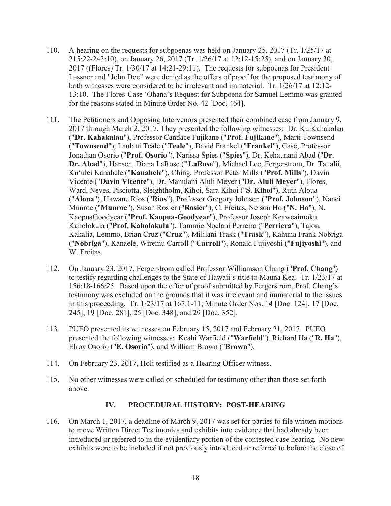- 110. A hearing on the requests for subpoenas was held on January 25, 2017 (Tr. 1/25/17 at 215:22-243:10), on January 26, 2017 (Tr. 1/26/17 at 12:12-15:25), and on January 30, 2017 ((Flores) Tr. 1/30/17 at 14:21-29:11). The requests for subpoenas for President Lassner and "John Doe" were denied as the offers of proof for the proposed testimony of both witnesses were considered to be irrelevant and immaterial. Tr. 1/26/17 at 12:12- 13:10. The Flores-Case 'Ohana's Request for Subpoena for Samuel Lemmo was granted for the reasons stated in Minute Order No. 42 [Doc. 464].
- 111. The Petitioners and Opposing Intervenors presented their combined case from January 9, 2017 through March 2, 2017. They presented the following witnesses: Dr. Ku Kahakalau ("**Dr. Kahakalau**"), Professor Candace Fujikane ("**Prof. Fujikane**"), Marti Townsend ("**Townsend**"), Laulani Teale ("**Teale**"), David Frankel ("**Frankel**"), Case, Professor Jonathan Osorio ("**Prof. Osorio**"), Narissa Spies ("**Spies**"), Dr. Kehaunani Abad ("**Dr. Dr. Abad**"), Hansen, Diana LaRose (**"LaRose**"), Michael Lee, Fergerstrom, Dr. Taualii, Ku'ulei Kanahele ("Kanahele"), Ching, Professor Peter Mills ("Prof. Mills"), Davin Vicente ("**Davin Vicente**"), Dr. Manulani Aluli Meyer ("**Dr. Aluli Meyer**"), Flores, Ward, Neves, Pisciotta, Sleightholm, Kihoi, Sara Kihoi ("**S. Kihoi**"), Ruth Aloua ("**Aloua**"), Hawane Rios ("**Rios**"), Professor Gregory Johnson ("**Prof. Johnson**"), Nanci Munroe ("**Munroe**"), Susan Rosier ("**Rosier**"), C. Freitas, Nelson Ho ("**N. Ho**"), N. KaopuaGoodyear ("**Prof. Kaopua-Goodyear**"), Professor Joseph Keaweaimoku Kaholokula ("**Prof. Kaholokula**"), Tammie Noelani Perreira ("**Perriera**"), Tajon, Kakalia, Lemmo, Brian Cruz ("**Cruz**"), Mililani Trask ("**Trask**"), Kahuna Frank Nobriga ("**Nobriga**"), Kanaele, Wiremu Carroll ("**Carroll**"), Ronald Fujiyoshi ("**Fujiyoshi**"), and W. Freitas.
- 112. On January 23, 2017, Fergerstrom called Professor Williamson Chang ("**Prof. Chang**") to testify regarding challenges to the State of Hawaii's title to Mauna Kea. Tr. 1/23/17 at 156:18-166:25. Based upon the offer of proof submitted by Fergerstrom, Prof. Chang's testimony was excluded on the grounds that it was irrelevant and immaterial to the issues in this proceeding. Tr. 1/23/17 at 167:1-11; Minute Order Nos. 14 [Doc. 124], 17 [Doc. 245], 19 [Doc. 281], 25 [Doc. 348], and 29 [Doc. 352].
- 113. PUEO presented its witnesses on February 15, 2017 and February 21, 2017. PUEO presented the following witnesses: Keahi Warfield ("**Warfield**"), Richard Ha ("**R. Ha**"), Elroy Osorio ("**E. Osorio**"), and William Brown ("**Brown**").
- 114. On February 23. 2017, Holi testified as a Hearing Officer witness.
- 115. No other witnesses were called or scheduled for testimony other than those set forth above.

## **IV. PROCEDURAL HISTORY: POST-HEARING**

116. On March 1, 2017, a deadline of March 9, 2017 was set for parties to file written motions to move Written Direct Testimonies and exhibits into evidence that had already been introduced or referred to in the evidentiary portion of the contested case hearing. No new exhibits were to be included if not previously introduced or referred to before the close of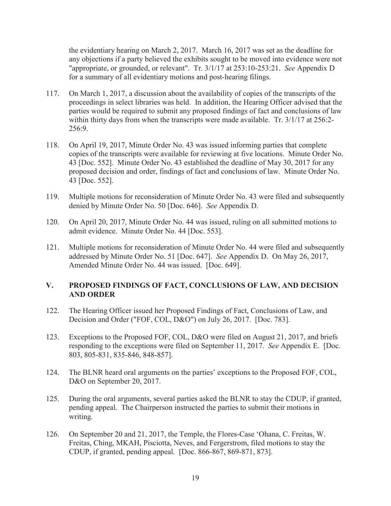the evidentiary hearing on March 2, 2017. March 16, 2017 was set as the deadline for any objections if a party believed the exhibits sought to be moved into evidence were not "appropriate, or grounded, or relevant". Tr. 3/1/17 at 253:10-253:21. *See* Appendix D for a summary of all evidentiary motions and post-hearing filings.

- 117. On March 1, 2017, a discussion about the availability of copies of the transcripts of the proceedings in select libraries was held. In addition, the Hearing Officer advised that the parties would be required to submit any proposed findings of fact and conclusions of law within thirty days from when the transcripts were made available. Tr. 3/1/17 at 256:2-256:9.
- 118. On April 19, 2017, Minute Order No. 43 was issued informing parties that complete copies of the transcripts were available for reviewing at five locations. Minute Order No. 43 [Doc. 552]. Minute Order No. 43 established the deadline of May 30, 2017 for any proposed decision and order, findings of fact and conclusions of law. Minute Order No. 43 [Doc. 552].
- 119. Multiple motions for reconsideration of Minute Order No. 43 were filed and subsequently denied by Minute Order No. 50 [Doc. 646]. *See* Appendix D.
- 120. On April 20, 2017, Minute Order No. 44 was issued, ruling on all submitted motions to admit evidence. Minute Order No. 44 [Doc. 553].
- 121. Multiple motions for reconsideration of Minute Order No. 44 were filed and subsequently addressed by Minute Order No. 51 [Doc. 647]. *See* Appendix D. On May 26, 2017, Amended Minute Order No. 44 was issued. [Doc. 649].

## **V. PROPOSED FINDINGS OF FACT, CONCLUSIONS OF LAW, AND DECISION AND ORDER**

- 122. The Hearing Officer issued her Proposed Findings of Fact, Conclusions of Law, and Decision and Order ("FOF, COL, D&O") on July 26, 2017. [Doc. 783].
- 123. Exceptions to the Proposed FOF, COL, D&O were filed on August 21, 2017, and briefs responding to the exceptions were filed on September 11, 2017. *See* Appendix E. [Doc. 803, 805-831, 835-846, 848-857].
- 124. The BLNR heard oral arguments on the parties' exceptions to the Proposed FOF, COL, D&O on September 20, 2017.
- 125. During the oral arguments, several parties asked the BLNR to stay the CDUP, if granted, pending appeal. The Chairperson instructed the parties to submit their motions in writing.
- 126. On September 20 and 21, 2017, the Temple, the Flores-Case 'Ohana, C. Freitas, W. Freitas, Ching, MKAH, Pisciotta, Neves, and Fergerstrom, filed motions to stay the CDUP, if granted, pending appeal. [Doc. 866-867, 869-871, 873].